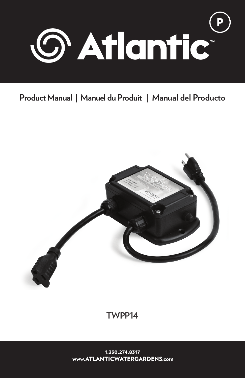

# **Product Manual | Manuel du Produit | Manual del Producto**



**TWPP14**

1.330.274.8317 www.ATLANTICWATERGARDENS.com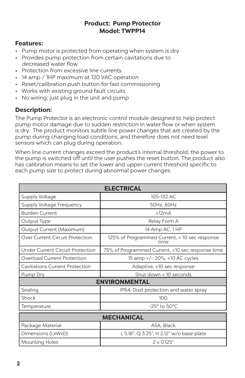#### **Product: Pump Protector Model: TWPP14**

### **Features:**

- Pump motor is protected from operating when system is dry
- Provides pump protection from certain cavitations due to decreased water flow
- Protection from excessive line currents
- 14 amp / 1HP maximum at 120 VAC operation
- Reset/calibration push button for fast commissioning
- Works with existing ground fault circuits
- No wiring; just plug in the unit and pump

### **Description:**

The Pump Protector is an electronic control module designed to help protect pump motor damage due to sudden restriction in water flow or when system is dry. The product monitors subtle line power changes that are created by the pump during changing load conditions, and therefore does not need level sensors which can plug during operation.

When line current changes exceed the product's internal threshold, the power to the pump is switched off until the user pushes the reset button. The product also has calibration means to set the lower and upper current threshold specific to each pump size to protect during abnormal power changes.

| <b>ELECTRICAL</b>                     |                                                       |
|---------------------------------------|-------------------------------------------------------|
| Supply Voltage                        | 105-132 AC                                            |
| Supply Voltage Frequency              | 50Hz, 60Hz                                            |
| <b>Burden Current</b>                 | <12mA                                                 |
| Output Type                           | Relay Form A                                          |
| Output Current (Maximum)              | 14 Amp AC, 1 HP                                       |
| Over Current Circuit Protection       | 125% of Programmed Current, < 10 sec response<br>time |
| Under Current Circuit Protection      | 75% of Programmed Current, <10 sec response time      |
| Overload Current Protection           | 15 amp +/- 20%, <10 AC cycles                         |
| <b>Cavitations Current Protection</b> | Adaptive, <10 sec response                            |
| Pump Dry                              | Shut down < 10 seconds                                |
| <b>ENVIRONMENTAL</b>                  |                                                       |
| Sealing                               | IP64, Dust protection and water spray                 |
| Shock                                 | 10 <sub>G</sub>                                       |
| Temperature                           | $-25^\circ$ to $50^\circ$ C                           |
| <b>MECHANICAL</b>                     |                                                       |
| Package Material                      | ASA, Black                                            |
| Dimensions (LxWxD)                    | L 5.18", Q 3.25", H 2.12" w/o base plate              |
| <b>Mounting Holes</b>                 | $2 \times 0.125"$                                     |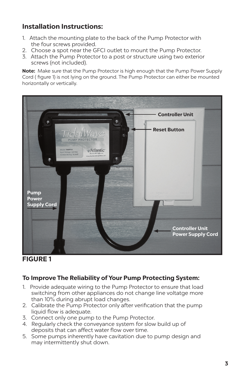# **Installation Instructions:**

- 1. Attach the mounting plate to the back of the Pump Protector with the four screws provided.
- 2. Choose a spot near the GFCI outlet to mount the Pump Protector.
- 3. Attach the Pump Protector to a post or structure using two exterior screws (not included).

**Note:** Make sure that the Pump Protector is high enough that the Pump Power Supply Cord ( figure 1) is not lying on the ground. The Pump Protector can either be mounted horizontally or vertically.



## **FIGURE 1**

### **To Improve The Reliability of Your Pump Protecting System:**

- 1. Provide adequate wiring to the Pump Protector to ensure that load switching from other appliances do not change line voltatge more than 10% during abrupt load changes.
- 2. Calibrate the Pump Protector only after verification that the pump liquid flow is adequate.
- 3. Connect only one pump to the Pump Protector.
- 4. Regularly check the conveyance system for slow build up of deposits that can affect water flow over time.
- 5. Some pumps inherently have cavitation due to pump design and may intermittently shut down.